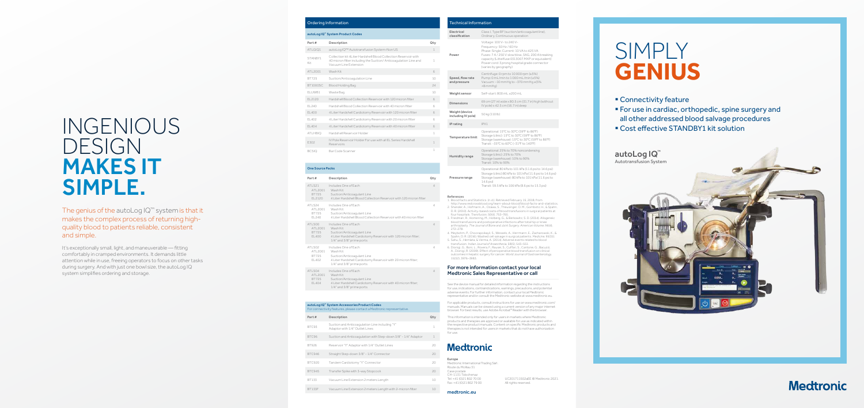#### Ordering Information

#### autoLog IQ ™ System Product Codes

| Part#           | Description                                                                                                                                                  | Qty          |
|-----------------|--------------------------------------------------------------------------------------------------------------------------------------------------------------|--------------|
| ATLGIQ1         | autoLog IQ™ Autotransfusion System-Non US                                                                                                                    | 1            |
| STANBY1<br>Kit  | Collection kit 4 Liter Hardshell Blood Collection Reservoir with<br>40 micron filter including the Suction/Anticoagulation Line and<br>Vacuum Line Extension | 1            |
| ATL2001         | Wash Kit                                                                                                                                                     | 6            |
| <b>BT725</b>    | Suction/Anticoagulation Line                                                                                                                                 | 10           |
| <b>BT1000SC</b> | Blood Holding Bag                                                                                                                                            | 24           |
| ELUWB1          | Waste Bag                                                                                                                                                    | 10           |
| EL2120          | Hardshell Blood Collection Reservoir with 120 micron filter                                                                                                  | 6            |
| EL240           | Hardshell Blood Collection Reservoir with 40 micron filter                                                                                                   | 6            |
| <b>EL400</b>    | 4 Liter Hardshell Cardiotomy Reservoir with 120 micron filter                                                                                                | 6            |
| EL402           | 4 Liter Hardshell Cardiotomy Reservoir with 20 micron filter                                                                                                 | 6            |
| EL404           | 4 Liter Hardshell Cardiotomy Reservoir with 40 micron filter                                                                                                 | 6            |
| <b>ATLHBIQ</b>  | Hardshell Reservoir Holder                                                                                                                                   | 1            |
| E302            | IV Pole Reservoir Holder For use with all EL Series Hardshell<br>Reservoirs                                                                                  | 1            |
| <b>BCSIQ</b>    | Bar Code Scanner                                                                                                                                             | $\mathbf{1}$ |

#### One Source Packs

| Part#                                      | Description                                                                                                                                                   | Qty            |
|--------------------------------------------|---------------------------------------------------------------------------------------------------------------------------------------------------------------|----------------|
| ATLS21<br>ATL2001<br>BT725<br>EL2120       | Includes One of Each<br>Wash Kit<br>Suction/Anticoagulant Line<br>4 Liter Hardshell Blood Collection Reservoir with 120 micron filter                         | $\overline{4}$ |
| ATLS24<br>ATL2001<br>BT725<br>EL240        | Includes One of Each<br>Wash Kit<br>Suction/Anticoagulant Line<br>41 iter Hardshell Blood Collection Reservoir with 40 micron filter                          | 4              |
| ATLS00<br>ATL2001<br>BT725<br>EL400        | Includes One of Fach<br>Wash Kit<br>Suction/Anticoagulant Line<br>4 Liter Hardshell Cardiotomy Reservoir with 120 micron filter;<br>1/4" and 3/8" prime ports | $\overline{4}$ |
| ATLS02<br>ATL2001<br><b>BT725</b><br>EL402 | Includes One of Each<br>Wash Kit<br>Suction/Anticoagulant Line<br>4 Liter Hardshell Cardiotomy Reservoir with 20 micron filter;<br>1/4" and 3/8" prime ports  | 4              |
| ATLS04<br>ATL2001<br><b>BT725</b><br>EL404 | Includes One of Each<br>Wash Kit<br>Suction/Anticoagulant Line<br>4 Liter Hardshell Cardiotomy Reservoir with 40 micron filter;<br>1/4" and 3/8" prime ports  | $\overline{4}$ |

#### autoLog IQ ™ System Accessories Product Codes eatures, please contact a Medtroni Part # Description Qty BTC93 Suction and Anticoagulation Line including "Y" Adaptor with 1/4" Outlet Lines

1

| BTC96         | Suction and Anticoagulation with Step-down 3/8" - 1/4" Adaptor | 1  |
|---------------|----------------------------------------------------------------|----|
| BT926         | Reservoir "Y" Adaptor with 1/4" Outlet Lines                   | 20 |
| <b>BTC946</b> | Straight Step-down 3/8" - 1/4" Connector                       | 20 |
| <b>BTC920</b> | Tandem Cardiotomy "Y" Connector                                | 20 |
| <b>BTC945</b> | Transfer Spike with 3-way Stopcock                             | 20 |
| BT133         | Vacuum Line Extension 2 meters Length                          | 10 |
| <b>BT133F</b> | Vacuum Line Extension 2 meters Length with 2-micron filter     | 10 |

It's exceptionally small, light, and maneuverable — fitting comfortably in cramped environments. It demands little attention while in use, freeing operators to focus on other tasks during surgery. And with just one bowl size, the autoLog IQ system simplifies ordering and storage.

| <b>Technical Information</b>         |                                                                                                                                                                                                                                                                                   |  |
|--------------------------------------|-----------------------------------------------------------------------------------------------------------------------------------------------------------------------------------------------------------------------------------------------------------------------------------|--|
| Electrical<br>classification         | Class I, Type BF (suction/anticoagulant line),<br>Ordinary, Continuous operation                                                                                                                                                                                                  |  |
| Power                                | Voltage: 100 V~ to 240 V~<br>Frequency: 50 Hz / 60 Hz<br>Phase: Single; Current: 10 VA to 425 VA<br>Fuses: 7 A / 250 V slow blow, 3AG, 200 A breaking<br>capacity (Littelfuse 0313007.MXP or equivalent)<br>Power cord: 3 prong hospital grade connector<br>(varies by geography) |  |
| Speed, flow rate<br>and pressure     | Centrifuge: 0 rpm to 10 000 rpm (±5%)<br>Pump: 0 mL/min to 1 000 mL/min (±5%)<br>Vacuum: -10 mmHg to -370 mmHg ±(5%<br>$+8$ mmHg)                                                                                                                                                 |  |
| Weight sensor                        | Self-start: 800 mL ±200 mL                                                                                                                                                                                                                                                        |  |
| <b>Dimensions</b>                    | 69 cm (27 in) wide x 80.5 cm (31.7 in) high (without<br>IV pole) x 42.5 cm (16.7 in) deep                                                                                                                                                                                         |  |
| Weight (device<br>including IV pole) | 50 kg (110 lb)                                                                                                                                                                                                                                                                    |  |
| IP rating                            | IPX1                                                                                                                                                                                                                                                                              |  |
| Temperature limit                    | Operational: 15°C to 30°C (59°F to 86°F)<br>Storage (clinic): 15°C to 30°C (59°F to 86°F)<br>Storage (warehouse): 15°C to 30°C (59°F to 86°F)<br>Transit: -35°C to 60°C (-31°F to 140°F)                                                                                          |  |
| <b>Humidity range</b>                | Operational: 25% to 70% noncondensing<br>Storage (clinic): 25% to 70%<br>Storage (warehouse): 10% to 90%<br>Transit: 10% to 90%                                                                                                                                                   |  |
| Pressure range                       | Operational: 80 kPa to 101 kPa (11.6 psi to 14.6 psi)<br>Storage (clinic):80 kPa to 101 kPa (11.6 psi to 14.6 psi)<br>Storage (warehouse): 80 kPa to 101 kPa (11.6 psi to<br>14.6 psi)<br>Transit: 59.5 kPa to 106 kPa (8.6 psi to 15.3 psi)                                      |  |

# SIMPLY **GENIUS**

- Connectivity feature
- § For use in cardiac, orthopedic, spine surgery and all other addressed blood salvage procedures
- Cost effective STANDBY1 kit solution



## **Medtronic**

#### For more information contact your local Medtronic Sales Representative or call

References

- 1. Blood Facts and Statistics. (n.d.). Retrieved February 15, 2018, from
- http://www.redcrossblood.org/learn-about-blood/blood-facts-and-statistics.
- 2. Shander, A., Hofmann, A., Ozawa, S., Theusinger, O. M., Gombotz, H., & Spahn, D. R. (2010). Activity-based costs of blood transfusions in surgical patients at four hospitals. *Transfusion*, 50(4), 753–765.
- 3. Friedman, R., Homering, M., Holberg, G., & Berkowitz, S. D. (2014). Allogeneic blood transfusions and postoperative infections after total hip or knee arthroplasty. *The Journal of Bone and Joint Surgery. American Volume*, 96(4), 272–278.
- 4. Meybohm, P., Choorapoikayil, S., Wessels, A., Herrmann, E., Zacharowski, K., & Spahn, D. R. (2016). Washed cell salvage in surgical patients. *Medicine*, 95(31).
- 5. Sahu, S., Hemlata, & Verma, A. (2014). Adverse events related to blood transfusion. *Indian Journal of Anaesthesia*, 58(5), 543–551. 6. Dionigi, G., Boni, L., Rovera, F., Rausei, S., Cuffari, S., Cantone, G., Bacuzzi,
- A., Dionigi, R. (2009). Effect of perioperative blood transfusion on clinical outcomes in hepatic surgery for cancer. *World Journal of Gastroenterology*, 15(32), 3976–3983.

## INGENIOUS DESIGN MAKES IT SIMPLE.

The genius of the autoLog IQ ™ system is that it makes the complex process of returning highquality blood to patients reliable, consistent and simple.

> UC201711502aEE © Medtronic 2021. All rights reserved.

See the device manual for detailed information regarding the instructions for use, indications, contraindications, warnings, precautions, and potential adverse events. For further information, contact your local Medtronic representative and/or consult the Medtronic website at www.medtronic.eu.

For applicable products, consult instructions for use on www.medtronic.com/ manuals. Manuals can be viewed using a current version of any major internet browser. For best results, use Adobe Acrobat ® Reader with the browser.

This information is intended only for users in markets where Medtronic products and therapies are approved or available for use as indicated within the respective product manuals. Content on specific Medtronic products and therapies is not intended for users in markets that do not have authorization for use.

## **Medtronic**

Europe

Medtronic International Trading Sàrl. Route du Molliau 31 Case postale CH-1131 Tolochenaz Tel: +41 (0)21 802 70 00 Fax: +41 (0)21 802 79 00

medtronic.eu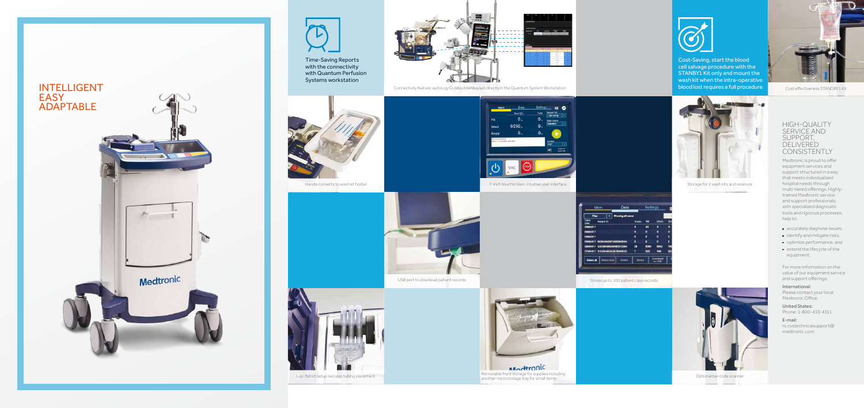







Cost effectiveness STANDBY1 Kit

#### HIGH-QUALITY SERVICE AND SUPPORT, DELIVERED CONSISTENTLY

- **a** accurately diagnose issues,
- **i** identify and mitigate risks,
- **p**optimize performance, and extend the lifecycle of the

Medtronic is proud to offer equipment services and support structured in a way that meets individualized hospital needs through multi-tiered offerings. Highlytrained Medtronic service and support professionals, with specialized diagnostic tools and rigorous processes, help to:

#### International: Please contact your local Medtronic Office.

equipment.

For more information on the value of our equipment service and support offerings:

United States: Phone: 1-800-433-4311

E-mail: rs.cvstechnicalsupport@ medtronic.com









Lay-flat kit setup secures tubing placement Removable including Removable front storage for supplies including<br>Another microstorage tray for small items of the contract of the contract of the code scanner another microstor



Connectivity feature: autoLog IQ data downloaded directly in the Quantum System Workstation

Time-Saving Reports with the connectivity with Quantum Perfusion Systems workstation





Cost-Saving, start the blood cell salvage procedure with the STANBY1 Kit only and mount the wash kit when the intra-operative blood lost requires a full procedure



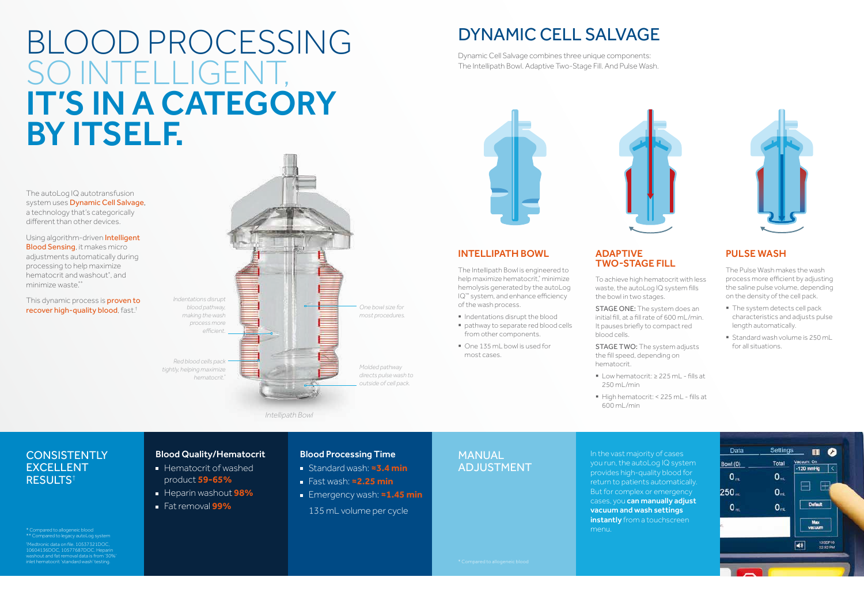## BLOOD PROCESSING SO INTELLIGENT, IT'S IN A CATEGORY BY ITSELF.

The autoLog IQ autotransfusion system uses **Dynamic Cell Salvage**, a technology that's categorically different than other devices.

Using algorithm-driven **Intelligent** Blood Sensing, it makes micro adjustments automatically during processing to help maximize hematocrit and washout\* , and minimize waste.\*\*

This dynamic process is **proven to** recover high-quality blood, fast.†

## DYNAMIC CELL SALVAGE

#### Intellipath Bowl

STAGE ONE: The system does an initial fill, at a fill rate of 600 mL/min. It pauses briefly to compact red blood cells.

STAGE TWO: The system adjusts the fill speed, depending on hematocrit.

The Intellipath Bowl is engineered to help maximize hematocrit,\* minimize hemolysis generated by the autoLog IQ™ system, and enhance efficiency of the wash process.

- § Indentations disrupt the blood
- pathway to separate red blood cells from other components.
- One 135 mL bowl is used for most cases.
- The system detects cell pack characteristics and adjusts pulse length automatically.
- § Standard wash volume is 250 mL for all situations.

#### ADAPTIVE Two-Stage Fill

To achieve high hematocrit with less waste, the autoLog IQ system fills the bowl in two stages.

### MANUAL **ADJUSTMENT**

### **CONSISTENTLY** EXCELLENT RESULTS†

- **Hematocrit of washed** product **59-65%**
- **Heparin washout 98%**
- Fat removal **99%**
- 250 mL/min
- 600 mL/min

§ High hematocrit: < 225 mL - fills at



#### Pulse Wash

The Pulse Wash makes the wash process more efficient by adjusting the saline pulse volume, depending on the density of the cell pack.

Dynamic Cell Salvage combines three unique components: The Intellipath Bowl. Adaptive Two-Stage Fill. And Pulse Wash.





In the vast majority of cases



you run, the autoLog IQ system provides high-quality blood for return to patients automatically. But for complex or emergency cases, you can manually adjust vacuum and wash settings instantly from a touchscreen menu.





■ Low hematocrit: ≥ 225 mL - fills at

\* Compared to allogeneic blood \*\* Compared to legacy autoLog system † Medtronic data on file. 10537321DOC, 10604136DOC, 10577687DOC. Heparin washout and fat removal data is from '30%' inlet hematocrit 'standard wash' testing.

#### *Intellipath Bowl*

#### Blood Quality/Hematocrit

#### Blood Processing Time

- Standard wash: **≈3.4 min**
- Fast wash: **≈2.25 min**
- Emergency wash: **≈1.45 min** 135 mL volume per cycle

*One bowl size for most procedures. Molded pathway directs pulse wash to outside of cell pack. Indentations disrupt blood pathway, making the wash process more efficient. Red blood cells pack tightly, helping maximize hematocrit.\**